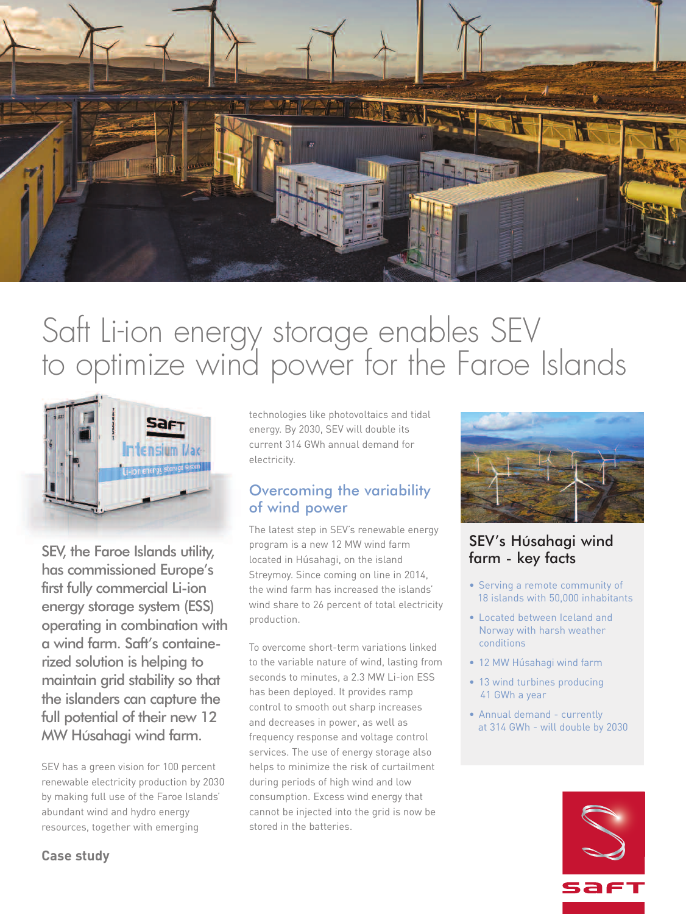

# Saft Li-ion energy storage enables SEV to optimize wind power for the Faroe Islands



SEV, the Faroe Islands utility, has commissioned Europe's first fully commercial Li-ion energy storage system (ESS) operating in combination with a wind farm. Saft's containerized solution is helping to maintain grid stability so that the islanders can capture the full potential of their new 12 MW Húsahagi wind farm.

SEV has a green vision for 100 percent renewable electricity production by 2030 by making full use of the Faroe Islands' abundant wind and hydro energy resources, together with emerging

technologies like photovoltaics and tidal energy. By 2030, SEV will double its current 314 GWh annual demand for electricity.

#### Overcoming the variability of wind power

The latest step in SEV's renewable energy program is a new 12 MW wind farm located in Húsahagi, on the island Streymoy. Since coming on line in 2014, the wind farm has increased the islands' wind share to 26 percent of total electricity production.

To overcome short-term variations linked to the variable nature of wind, lasting from seconds to minutes, a 2.3 MW Li-ion ESS has been deployed. It provides ramp control to smooth out sharp increases and decreases in power, as well as frequency response and voltage control services. The use of energy storage also helps to minimize the risk of curtailment during periods of high wind and low consumption. Excess wind energy that cannot be injected into the grid is now be stored in the batteries.



## SEV's Húsahagi wind farm - key facts

- Serving a remote community of 18 islands with 50,000 inhabitants
- Located between Iceland and Norway with harsh weather conditions
- 12 MW Húsahagi wind farm
- 13 wind turbines producing 41 GWh a year
- Annual demand currently at 314 GWh - will double by 2030